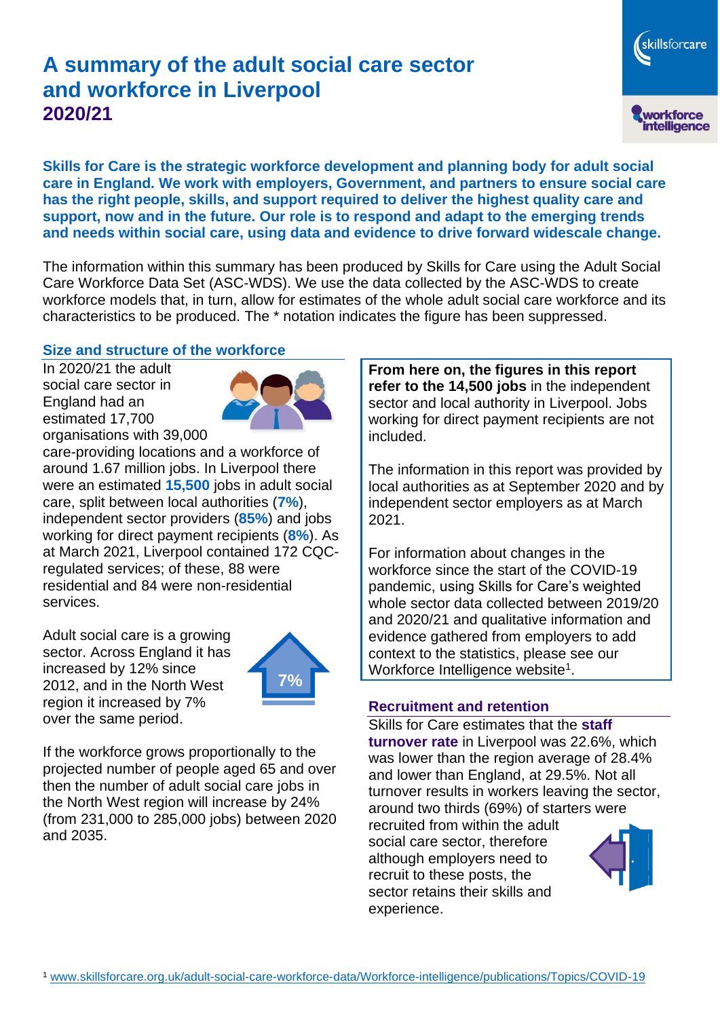# **A summary of the adult social care sector and workforce in Liverpool 2020/21**

skillsforcare workforce<br>intelligence

**Skills for Care is the strategic workforce development and planning body for adult social care in England. We work with employers, Government, and partners to ensure social care has the right people, skills, and support required to deliver the highest quality care and support, now and in the future. Our role is to respond and adapt to the emerging trends and needs within social care, using data and evidence to drive forward widescale change.**

The information within this summary has been produced by Skills for Care using the Adult Social Care Workforce Data Set (ASC-WDS). We use the data collected by the ASC-WDS to create workforce models that, in turn, allow for estimates of the whole adult social care workforce and its characteristics to be produced. The \* notation indicates the figure has been suppressed.

#### **Size and structure of the workforce**

In 2020/21 the adult social care sector in England had an estimated 17,700 organisations with 39,000



care-providing locations and a workforce of around 1.67 million jobs. In Liverpool there were an estimated **15,500** jobs in adult social care, split between local authorities (**7%**), independent sector providers (**85%**) and jobs working for direct payment recipients (**8%**). As at March 2021, Liverpool contained 172 CQCregulated services; of these, 88 were residential and 84 were non-residential services.

Adult social care is a growing sector. Across England it has increased by 12% since 2012, and in the North West region it increased by 7% over the same period.



If the workforce grows proportionally to the projected number of people aged 65 and over then the number of adult social care jobs in the North West region will increase by 24% (from 231,000 to 285,000 jobs) between 2020 and 2035.

**From here on, the figures in this report refer to the 14,500 jobs** in the independent sector and local authority in Liverpool. Jobs working for direct payment recipients are not included.

The information in this report was provided by local authorities as at September 2020 and by independent sector employers as at March 2021.

For information about changes in the workforce since the start of the COVID-19 pandemic, using Skills for Care's weighted whole sector data collected between 2019/20 and 2020/21 and qualitative information and evidence gathered from employers to add context to the statistics, please see our Workforce Intelligence website<sup>1</sup>.

#### **Recruitment and retention**

Skills for Care estimates that the **staff turnover rate** in Liverpool was 22.6%, which was lower than the region average of 28.4% and lower than England, at 29.5%. Not all turnover results in workers leaving the sector, around two thirds (69%) of starters were recruited from within the adult social care sector, therefore although employers need to recruit to these posts, the sector retains their skills and experience.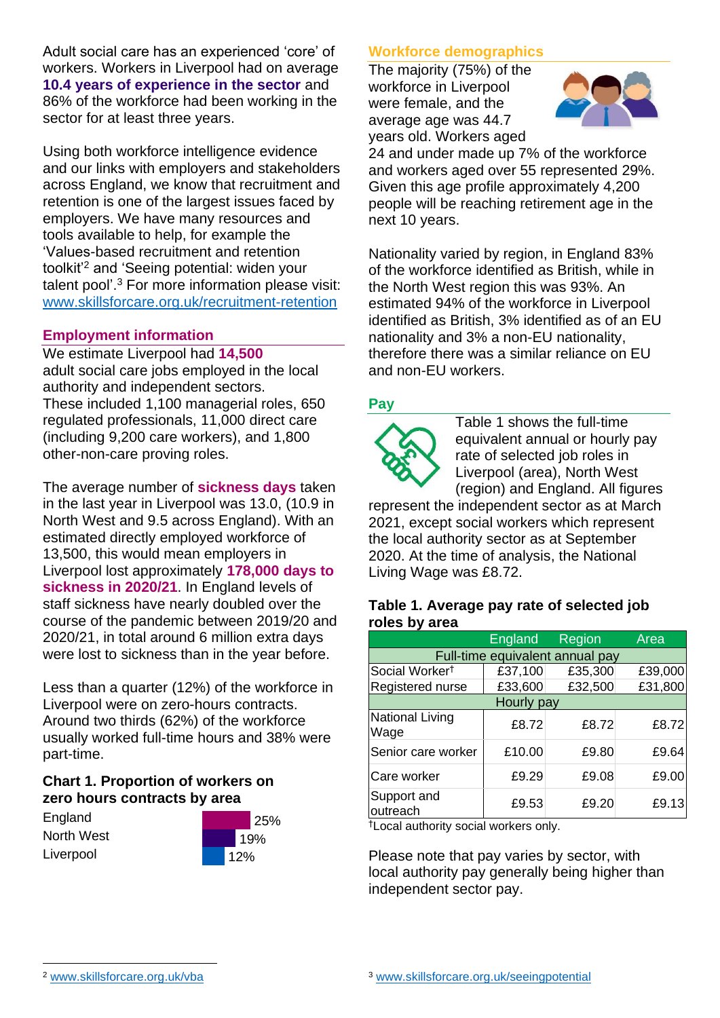Adult social care has an experienced 'core' of workers. Workers in Liverpool had on average **10.4 years of experience in the sector** and 86% of the workforce had been working in the sector for at least three years.

Using both workforce intelligence evidence and our links with employers and stakeholders across England, we know that recruitment and retention is one of the largest issues faced by employers. We have many resources and tools available to help, for example the 'Values-based recruitment and retention toolkit'<sup>2</sup> and 'Seeing potential: widen your talent pool'. <sup>3</sup> For more information please visit: [www.skillsforcare.org.uk/recruitment-retention](http://www.skillsforcare.org.uk/recruitment-retention)

#### **Employment information**

We estimate Liverpool had **14,500** adult social care jobs employed in the local authority and independent sectors. These included 1,100 managerial roles, 650 regulated professionals, 11,000 direct care (including 9,200 care workers), and 1,800 other-non-care proving roles.

The average number of **sickness days** taken in the last year in Liverpool was 13.0, (10.9 in North West and 9.5 across England). With an estimated directly employed workforce of 13,500, this would mean employers in Liverpool lost approximately **178,000 days to sickness in 2020/21**. In England levels of staff sickness have nearly doubled over the course of the pandemic between 2019/20 and 2020/21, in total around 6 million extra days were lost to sickness than in the year before.

Less than a quarter (12%) of the workforce in Liverpool were on zero-hours contracts. Around two thirds (62%) of the workforce usually worked full-time hours and 38% were part-time.

### **Chart 1. Proportion of workers on zero hours contracts by area**

**England** North West **Liverpool** 



### **Workforce demographics**

The majority (75%) of the workforce in Liverpool were female, and the average age was 44.7 years old. Workers aged



24 and under made up 7% of the workforce and workers aged over 55 represented 29%. Given this age profile approximately 4,200 people will be reaching retirement age in the next 10 years.

Nationality varied by region, in England 83% of the workforce identified as British, while in the North West region this was 93%. An estimated 94% of the workforce in Liverpool identified as British, 3% identified as of an EU nationality and 3% a non-EU nationality, therefore there was a similar reliance on EU and non-EU workers.

### **Pay**



Table 1 shows the full-time equivalent annual or hourly pay rate of selected job roles in Liverpool (area), North West (region) and England. All figures

represent the independent sector as at March 2021, except social workers which represent the local authority sector as at September 2020. At the time of analysis, the National Living Wage was £8.72.

#### **Table 1. Average pay rate of selected job roles by area**

|                                 | <b>England</b> | <b>Region</b> | Area    |
|---------------------------------|----------------|---------------|---------|
| Full-time equivalent annual pay |                |               |         |
| Social Worker <sup>t</sup>      | £37,100        | £35,300       | £39,000 |
| Registered nurse                | £33,600        | £32,500       | £31,800 |
| Hourly pay                      |                |               |         |
| National Living<br>Wage         | £8.72          | £8.72         | £8.72   |
| Senior care worker              | £10.00         | £9.80         | £9.64   |
| Care worker                     | £9.29          | £9.08         | £9.00   |
| Support and<br>outreach         | £9.53          | £9.20         | £9.13   |

†Local authority social workers only.

Please note that pay varies by sector, with local authority pay generally being higher than independent sector pay.